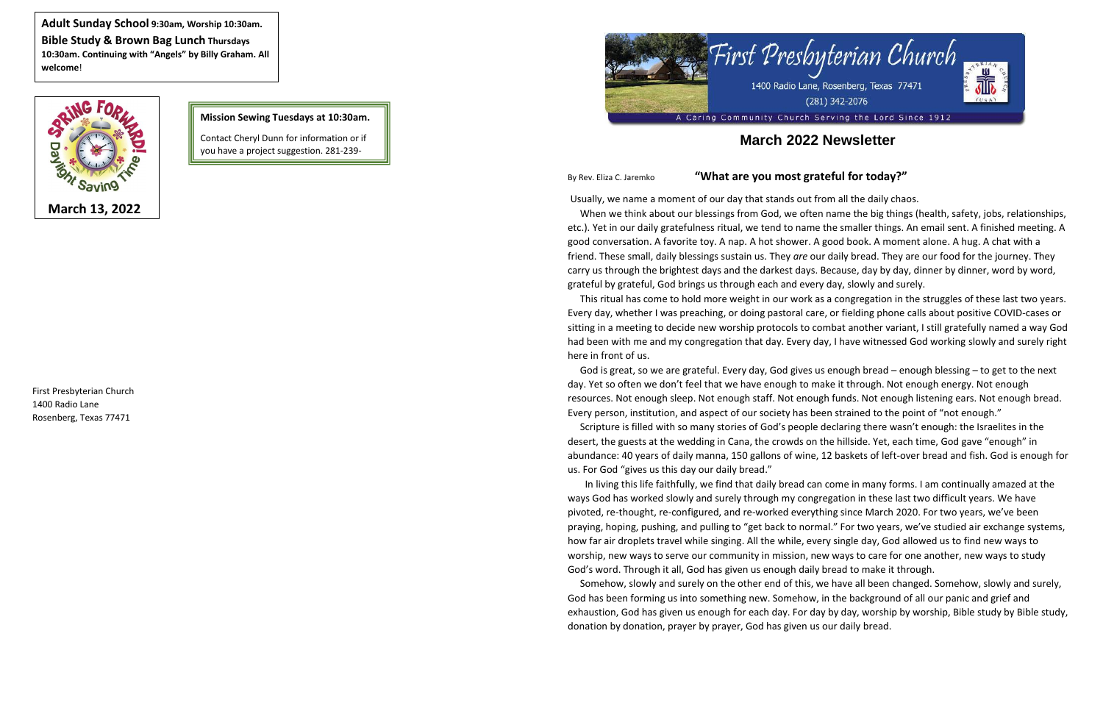



# **March 2022 Newsletter**

## By Rev. Eliza C. Jaremko **"What are you most grateful for today?"**

Usually, we name a moment of our day that stands out from all the daily chaos.

 When we think about our blessings from God, we often name the big things (health, safety, jobs, relationships, etc.). Yet in our daily gratefulness ritual, we tend to name the smaller things. An email sent. A finished meeting. A good conversation. A favorite toy. A nap. A hot shower. A good book. A moment alone. A hug. A chat with a friend. These small, daily blessings sustain us. They *are* our daily bread. They are our food for the journey. They carry us through the brightest days and the darkest days. Because, day by day, dinner by dinner, word by word, grateful by grateful, God brings us through each and every day, slowly and surely.

 This ritual has come to hold more weight in our work as a congregation in the struggles of these last two years. Every day, whether I was preaching, or doing pastoral care, or fielding phone calls about positive COVID-cases or sitting in a meeting to decide new worship protocols to combat another variant, I still gratefully named a way God had been with me and my congregation that day. Every day, I have witnessed God working slowly and surely right here in front of us.

 God is great, so we are grateful. Every day, God gives us enough bread – enough blessing – to get to the next day. Yet so often we don't feel that we have enough to make it through. Not enough energy. Not enough resources. Not enough sleep. Not enough staff. Not enough funds. Not enough listening ears. Not enough bread. Every person, institution, and aspect of our society has been strained to the point of "not enough." Scripture is filled with so many stories of God's people declaring there wasn't enough: the Israelites in the desert, the guests at the wedding in Cana, the crowds on the hillside. Yet, each time, God gave "enough" in abundance: 40 years of daily manna, 150 gallons of wine, 12 baskets of left-over bread and fish. God is enough for

us. For God "gives us this day our daily bread."

 In living this life faithfully, we find that daily bread can come in many forms. I am continually amazed at the ways God has worked slowly and surely through my congregation in these last two difficult years. We have pivoted, re-thought, re-configured, and re-worked everything since March 2020. For two years, we've been praying, hoping, pushing, and pulling to "get back to normal." For two years, we've studied air exchange systems, how far air droplets travel while singing. All the while, every single day, God allowed us to find new ways to worship, new ways to serve our community in mission, new ways to care for one another, new ways to study God's word. Through it all, God has given us enough daily bread to make it through.

 Somehow, slowly and surely on the other end of this, we have all been changed. Somehow, slowly and surely, God has been forming us into something new. Somehow, in the background of all our panic and grief and exhaustion, God has given us enough for each day. For day by day, worship by worship, Bible study by Bible study, donation by donation, prayer by prayer, God has given us our daily bread.

**Adult Sunday School 9:30am, Worship 10:30am. Bible Study & Brown Bag Lunch Thursdays 10:30am. Continuing with "Angels" by Billy Graham. All welcome**!



### **Mission Sewing Tuesdays at 10:30am.**

Contact Cheryl Dunn for information or if you have a project suggestion. 281-239-

0302